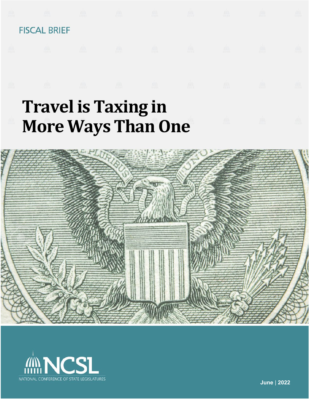



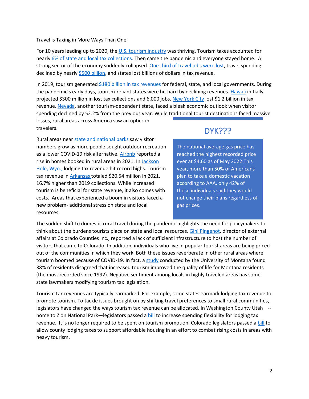#### Travel is Taxing in More Ways Than One

For 10 years leading up to 2020, the [U.S. tourism](https://www.ustravel.org/research/us-travel-answer-sheet) industry was thriving. Tourism taxes accounted for nearly [6% of state and local tax collections.](https://www.bloomberglaw.com/product/tax/bloombergtaxnews/daily-tax-report/X3JQFVTK000000?bna_news_filter=daily-tax-report#jcite) Then came the pandemic and everyone stayed home. A strong sector of the economy suddenly collapsed[. One third of travel jobs were lost,](https://www.ustravel.org/sites/default/files/2022-04/research_2022_national_ei_data_eim.pdf) travel spending declined by nearly [\\$500 billion,](https://www.ustravel.org/system/files/media_root/document/Research_Fact-Sheet_Industry-Table.pdf) and states lost billions of dollars in tax revenue.

In 2019, tourism generated \$180 billion in tax [revenues](https://www.ustravel.org/system/files/media_root/document/Research_Fact-Sheet_US-Travel-and-Tourism-Overview.pdf) for federal, state, and local governments. During the pandemic's early days, tourism-reliant states were hit hard by declining revenues. [Hawaii](https://www.pewtrusts.org/en/research-and-analysis/blogs/stateline/2020/03/16/coronavirus-will-slam-states-dependent-on-tourism) initially projected \$300 million in lost tax collections and 6,000 jobs. [New York](https://www.osc.state.ny.us/press/releases/2021/04/new-york-city-tourism-industry-hit-hard-pandemic-visitor-spending-drops-73) City lost \$1.2 billion in tax revenue. [Nevada,](https://res.cloudinary.com/simpleview/image/upload/v1624476915/clients/lasvegas/COVID_Impact_on_Tourism_Industry_FINAL_c415242c-e6f4-4bf5-91ea-98496d1afe3a.pdf) another tourism-dependent state, faced a bleak economic outlook when visitor spending declined by 52.2% from the previous year. While traditional tourist destinations faced massive

losses, rural areas across America saw an uptick in travelers.

Rural areas near [state and national parks](https://www.cnbc.com/2021/08/22/national-parks-are-booming-that-may-ruin-your-next-trip.html) saw visitor numbers grow as more people sought outdoor recreation as a lower COVID-19 risk alternative[. Airbnb](https://news.airbnb.com/2021-travel-report/) reported a rise in homes booked in rural areas in 2021. I[n Jackson](https://visit-jackson-hole.s3.amazonaws.com/assets/pdfs/JHTTB-2021-Annual-Report.pdf)  [Hole, Wyo.,](https://visit-jackson-hole.s3.amazonaws.com/assets/pdfs/JHTTB-2021-Annual-Report.pdf) lodging tax revenue hit record highs. Tourism tax revenue in [Arkansas](https://www.ktbs.com/news/texarkana/arkansas-2-tourism-tax-sets-new-record-up-51-in-2021/article_40d80c2c-9a49-11ec-b353-6b391329befa.html) totaled \$20.54 million in 2021, 16.7% higher than 2019 collections. While increased tourism is beneficial for state revenue, it also comes with costs. Areas that experienced a boom in visitors faced a new problem- additional stress on state and local resources.

# DYK???

The national average gas price has reached the highest recorded price ever at \$4.60 as of May 2022.This year, more than 50% of Americans plan to take a domestic vacation according to AAA, only 42% of those individuals said they would not change their plans regardless of gas prices.

The sudden shift to domestic rural travel during the pandemic highlights the need for policymakers to think about the burdens tourists place on state and local resources. [Gini Pingenot,](https://skift.com/2022/03/10/u-s-hotel-bed-tax-revenue-spikes-in-west-amid-overtourism-woes/) director of external affairs at Colorado Counties Inc., reported a lack of sufficient infrastructure to host the number of visitors that came to Colorado. In addition, individuals who live in popular tourist areas are being priced out of the communities in which they work. Both these issues reverberate in other rural areas where tourism boomed because of COVID-19. In fact, [a study](https://scholarworks.umt.edu/cgi/viewcontent.cgi?article=1429&context=itrr_pubs) conducted by the University of Montana found 38% of residents disagreed that increased tourism improved the quality of life for Montana residents (the most recorded since 1992). Negative sentiment among locals in highly traveled areas has some state lawmakers modifying tourism tax legislation.

Tourism tax revenues are typically earmarked. For example, some states earmark lodging tax revenue to promote tourism. To tackle issues brought on by shifting travel preferences to small rural communities, legislators have changed the ways tourism tax revenue can be allocated. In Washington County Utah—- home to Zion National Park—legislators passed a **bill** to increase spending flexibility for lodging tax revenue. It is no longer required to be spent on tourism promotion. Colorado legislators passed [a bill](https://coloradosun.com/2022/04/01/colorado-tourism-lodging-taxes-house-bill-1117/) to allow county lodging taxes to support affordable housing in an effort to combat rising costs in areas with heavy tourism.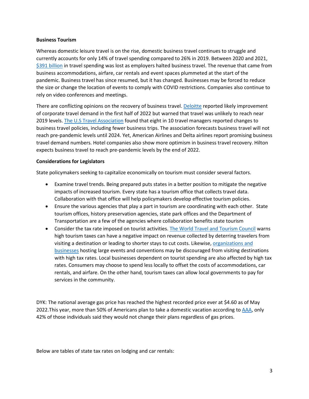### **Business Tourism**

Whereas domestic leisure travel is on the rise, domestic business travel continues to struggle and currently accounts for only 14% of travel spending compared to 26% in 2019. Between 2020 and 2021, [\\$391 billion](https://www.ustravel.org/sites/default/files/2022-05/ust-data-master.pdf) in travel spending was lost as employers halted business travel. The revenue that came from business accommodations, airfare, car rentals and event spaces plummeted at the start of the pandemic. Business travel has since resumed, but it has changed. Businesses may be forced to reduce the size or change the location of events to comply with COVID restrictions. Companies also continue to rely on video conferences and meetings.

There are conflicting opinions on the recovery of business travel. Deloitte reported likely improvement of corporate travel demand in the first half of 2022 but warned that travel was unlikely to reach near 2019 levels. [The U.S Travel Association](https://www.ustravel.org/research/monthly-travel-data-report) found that eight in 10 travel managers reported changes to business travel policies, including fewer business trips. The association forecasts business travel will not reach pre-pandemic levels until 2024. Yet, American Airlines and Delta airlines report promising business travel demand numbers. Hotel companies also show more optimism in business travel recovery. Hilton expects business travel to reach pre-pandemic levels by the end of 2022.

# **Considerations for Legislators**

State policymakers seeking to capitalize economically on tourism must consider several factors.

- Examine travel trends. Being prepared puts states in a better position to mitigate the negative impacts of increased tourism. Every state has a tourism office that collects travel data. Collaboration with that office will help policymakers develop effective tourism policies.
- Ensure the various agencies that play a part in tourism are coordinating with each other. State tourism offices, history preservation agencies, state park offices and the Department of Transportation are a few of the agencies where collaboration benefits state tourism
- Consider the tax rate imposed on tourist activities. [The World Travel and Tourism Council](https://wttc.org/Portals/0/Documents/Reports/2018/Intelligent%20Taxation%20White%20Paper%202018.pdf?ver=2021-02-25-182511-593) warns high tourism taxes can have a negative impact on revenue collected by deterring travelers from visiting a destination or leading to shorter stays to cut costs. Likewise, [organizations](https://journals.sagepub.com/doi/pdf/10.1177/1354816619890752) and [businesses](https://journals.sagepub.com/doi/pdf/10.1177/1354816619890752) hosting large events and conventions may be discouraged from visiting destinations with high tax rates. Local businesses dependent on tourist spending are also affected by high tax rates. Consumers may choose to spend less locally to offset the costs of accommodations, car rentals, and airfare. On the other hand, tourism taxes can allow local governments to pay for services in the community.

DYK: The national average gas price has reached the highest recorded price ever at \$4.60 as of May 2022.This year, more than 50% of Americans plan to take a domestic vacation according t[o AAA,](https://newsroom.aaa.com/2021/09/pandemic-prompts-more-americans-to-consider-travel-insurance/) only 42% of those individuals said they would not change their plans regardless of gas prices.

Below are tables of state tax rates on lodging and car rentals: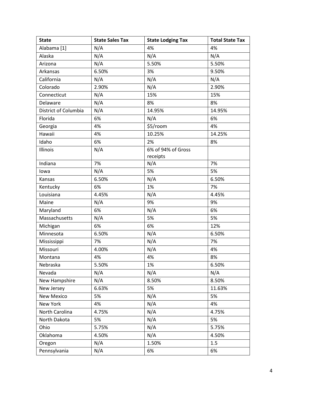| <b>State</b>         | <b>State Sales Tax</b> | <b>State Lodging Tax</b> | <b>Total State Tax</b> |
|----------------------|------------------------|--------------------------|------------------------|
| Alabama [1]          | N/A                    | 4%                       | 4%                     |
| Alaska               | N/A                    | N/A                      | N/A                    |
| Arizona              | N/A                    | 5.50%                    | 5.50%                  |
| Arkansas             | 6.50%                  | 3%                       | 9.50%                  |
| California           | N/A                    | N/A                      | N/A                    |
| Colorado             | 2.90%                  | N/A                      | 2.90%                  |
| Connecticut          | N/A                    | 15%                      | 15%                    |
| Delaware             | N/A                    | 8%                       | 8%                     |
| District of Columbia | N/A                    | 14.95%                   | 14.95%                 |
| Florida              | 6%                     | N/A                      | 6%                     |
| Georgia              | 4%                     | \$5/room                 | 4%                     |
| Hawaii               | 4%                     | 10.25%                   | 14.25%                 |
| Idaho                | 6%                     | 2%                       | 8%                     |
| Illinois             | N/A                    | 6% of 94% of Gross       |                        |
|                      |                        | receipts                 |                        |
| Indiana              | 7%                     | N/A                      | 7%                     |
| lowa                 | N/A                    | 5%                       | 5%                     |
| Kansas               | 6.50%                  | N/A                      | 6.50%                  |
| Kentucky             | 6%                     | 1%                       | 7%                     |
| Louisiana            | 4.45%                  | N/A                      | 4.45%                  |
| Maine                | N/A                    | 9%                       | 9%                     |
| Maryland             | 6%                     | N/A                      | 6%                     |
| Massachusetts        | N/A                    | 5%                       | 5%                     |
| Michigan             | 6%                     | 6%                       | 12%                    |
| Minnesota            | 6.50%                  | N/A                      | 6.50%                  |
| Mississippi          | 7%                     | N/A                      | 7%                     |
| Missouri             | 4.00%                  | N/A                      | 4%                     |
| Montana              | 4%                     | 4%                       | 8%                     |
| Nebraska             | 5.50%                  | 1%                       | 6.50%                  |
| Nevada               | N/A                    | N/A                      | N/A                    |
| New Hampshire        | N/A                    | 8.50%                    | 8.50%                  |
| New Jersey           | 6.63%                  | 5%                       | 11.63%                 |
| <b>New Mexico</b>    | 5%                     | N/A                      | 5%                     |
| New York             | 4%                     | N/A                      | 4%                     |
| North Carolina       | 4.75%                  | N/A                      | 4.75%                  |
| North Dakota         | 5%                     | N/A                      | 5%                     |
| Ohio                 | 5.75%                  | N/A                      | 5.75%                  |
| Oklahoma             | 4.50%                  | N/A                      | 4.50%                  |
| Oregon               | N/A                    | 1.50%                    | 1.5                    |
| Pennsylvania         | N/A                    | 6%                       | 6%                     |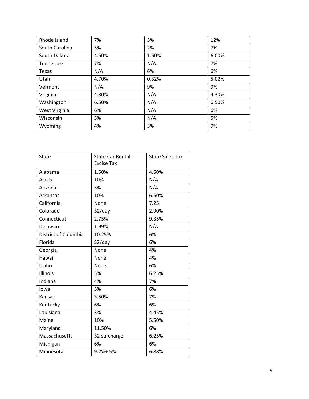| Rhode Island   | 7%    | 5%    | 12%   |
|----------------|-------|-------|-------|
| South Carolina | 5%    | 2%    | 7%    |
| South Dakota   | 4.50% | 1.50% | 6.00% |
| Tennessee      | 7%    | N/A   | 7%    |
| Texas          | N/A   | 6%    | 6%    |
| Utah           | 4.70% | 0.32% | 5.02% |
| Vermont        | N/A   | 9%    | 9%    |
| Virginia       | 4.30% | N/A   | 4.30% |
| Washington     | 6.50% | N/A   | 6.50% |
| West Virginia  | 6%    | N/A   | 6%    |
| Wisconsin      | 5%    | N/A   | 5%    |
| Wyoming        | 4%    | 5%    | 9%    |

| State                | <b>State Car Rental</b><br><b>Excise Tax</b> | <b>State Sales Tax</b> |
|----------------------|----------------------------------------------|------------------------|
| Alabama              | 1.50%                                        | 4.50%                  |
| Alaska               | 10%                                          | N/A                    |
| Arizona              | 5%                                           | N/A                    |
| Arkansas             | 10%                                          | 6.50%                  |
| California           | None                                         | 7.25                   |
| Colorado             | \$2/day                                      | 2.90%                  |
| Connecticut          | 2.75%                                        | 9.35%                  |
| Delaware             | 1.99%                                        | N/A                    |
| District of Columbia | 10.25%                                       | 6%                     |
| Florida              | $$2$ /day                                    | 6%                     |
| Georgia              | None                                         | 4%                     |
| Hawaii               | None                                         | 4%                     |
| Idaho                | None                                         | 6%                     |
| Illinois             | 5%                                           | 6.25%                  |
| Indiana              | 4%                                           | 7%                     |
| lowa                 | 5%                                           | 6%                     |
| Kansas               | 3.50%                                        | 7%                     |
| Kentucky             | 6%                                           | 6%                     |
| Louisiana            | 3%                                           | 4.45%                  |
| Maine                | 10%                                          | 5.50%                  |
| Maryland             | 11.50%                                       | 6%                     |
| Massachusetts        | \$2 surcharge                                | 6.25%                  |
| Michigan             | 6%                                           | 6%                     |
| Minnesota            | $9.2% + 5%$                                  | 6.88%                  |